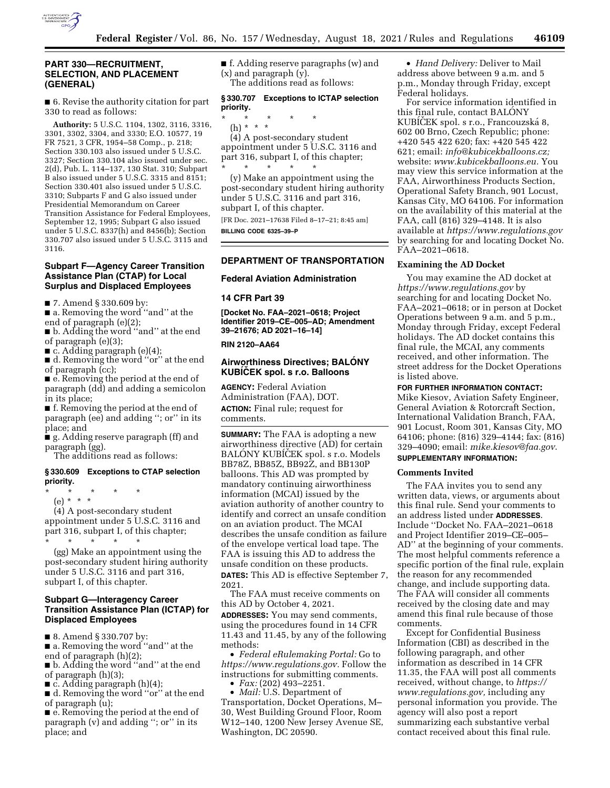

# **PART 330—RECRUITMENT, SELECTION, AND PLACEMENT (GENERAL)**

■ 6. Revise the authority citation for part 330 to read as follows:

**Authority:** 5 U.S.C. 1104, 1302, 3116, 3316, 3301, 3302, 3304, and 3330; E.O. 10577, 19 FR 7521, 3 CFR, 1954–58 Comp., p. 218; Section 330.103 also issued under 5 U.S.C. 3327; Section 330.104 also issued under sec. 2(d), Pub. L. 114–137, 130 Stat. 310; Subpart B also issued under 5 U.S.C. 3315 and 8151; Section 330.401 also issued under 5 U.S.C. 3310; Subparts F and G also issued under Presidential Memorandum on Career Transition Assistance for Federal Employees, September 12, 1995; Subpart G also issued under 5 U.S.C. 8337(h) and 8456(b); Section 330.707 also issued under 5 U.S.C. 3115 and 3116.

## **Subpart F—Agency Career Transition Assistance Plan (CTAP) for Local Surplus and Displaced Employees**

■ 7. Amend § 330.609 by:

■ a. Removing the word "and" at the end of paragraph (e)(2);

■ b. Adding the word ''and'' at the end of paragraph (e)(3);

■ c. Adding paragraph (e)(4);

■ d. Removing the word "or" at the end of paragraph (cc);

■ e. Removing the period at the end of paragraph (dd) and adding a semicolon in its place;

■ f. Removing the period at the end of paragraph (ee) and adding ''; or'' in its place; and

■ g. Adding reserve paragraph (ff) and paragraph (gg).

The additions read as follows:

### **§ 330.609 Exceptions to CTAP selection priority.**

\* \* \* \* \*

(e) \* \* \*

(4) A post-secondary student appointment under 5 U.S.C. 3116 and part 316, subpart I, of this chapter;

\* \* \* \* \* (gg) Make an appointment using the post-secondary student hiring authority under 5 U.S.C. 3116 and part 316, subpart I, of this chapter.

## **Subpart G—Interagency Career Transition Assistance Plan (ICTAP) for Displaced Employees**

■ 8. Amend § 330.707 by:

■ a. Removing the word "and" at the end of paragraph (h)(2);

■ b. Adding the word "and" at the end of paragraph (h)(3);

 $\blacksquare$  c. Adding paragraph (h)(4);

■ d. Removing the word "or" at the end of paragraph (u);

■ e. Removing the period at the end of paragraph (v) and adding ''; or'' in its place; and

■ f. Adding reserve paragraphs (w) and (x) and paragraph (y). The additions read as follows:

## **§ 330.707 Exceptions to ICTAP selection priority.**

\* \* \* \* \* (h) \* \* \*

(4) A post-secondary student appointment under 5 U.S.C. 3116 and part 316, subpart I, of this chapter; \* \* \* \* \*

(y) Make an appointment using the post-secondary student hiring authority under 5 U.S.C. 3116 and part 316, subpart I, of this chapter.

[FR Doc. 2021–17638 Filed 8–17–21; 8:45 am] **BILLING CODE 6325–39–P** 

# **DEPARTMENT OF TRANSPORTATION**

# **Federal Aviation Administration**

### **14 CFR Part 39**

**[Docket No. FAA–2021–0618; Project Identifier 2019–CE–005–AD; Amendment 39–21676; AD 2021–16–14]** 

### **RIN 2120–AA64**

## **Airworthiness Directives; BALONY KUBICEK** spol. s r.o. Balloons

**AGENCY:** Federal Aviation Administration (FAA), DOT. **ACTION:** Final rule; request for comments.

**SUMMARY:** The FAA is adopting a new airworthiness directive (AD) for certain BALONY KUBICEK spol. s r.o. Models BB78Z, BB85Z, BB92Z, and BB130P balloons. This AD was prompted by mandatory continuing airworthiness information (MCAI) issued by the aviation authority of another country to identify and correct an unsafe condition on an aviation product. The MCAI describes the unsafe condition as failure of the envelope vertical load tape. The FAA is issuing this AD to address the unsafe condition on these products. **DATES:** This AD is effective September 7, 2021.

The FAA must receive comments on this AD by October 4, 2021.

**ADDRESSES:** You may send comments, using the procedures found in 14 CFR 11.43 and 11.45, by any of the following methods:

• *Federal eRulemaking Portal:* Go to *[https://www.regulations.gov.](https://www.regulations.gov)* Follow the instructions for submitting comments.

• *Fax:* (202) 493–2251.

• *Mail:* U.S. Department of Transportation, Docket Operations, M– 30, West Building Ground Floor, Room W12–140, 1200 New Jersey Avenue SE, Washington, DC 20590.

• *Hand Delivery:* Deliver to Mail address above between 9 a.m. and 5 p.m., Monday through Friday, except Federal holidays.

For service information identified in this final rule, contact BALONY KUBICEK spol. s r.o., Francouzská 8, 602 00 Brno, Czech Republic; phone: +420 545 422 620; fax: +420 545 422 621; email: *[info@kubicekballoons.cz;](mailto:info@kubicekballoons.cz)*  website: *[www.kubicekballoons.eu.](http://www.kubicekballoons.eu)* You may view this service information at the FAA, Airworthiness Products Section, Operational Safety Branch, 901 Locust, Kansas City, MO 64106. For information on the availability of this material at the FAA, call (816) 329–4148. It is also available at *<https://www.regulations.gov>* by searching for and locating Docket No. FAA–2021–0618.

### **Examining the AD Docket**

You may examine the AD docket at *<https://www.regulations.gov>* by searching for and locating Docket No. FAA–2021–0618; or in person at Docket Operations between 9 a.m. and 5 p.m., Monday through Friday, except Federal holidays. The AD docket contains this final rule, the MCAI, any comments received, and other information. The street address for the Docket Operations is listed above.

### **FOR FURTHER INFORMATION CONTACT:**

Mike Kiesov, Aviation Safety Engineer, General Aviation & Rotorcraft Section, International Validation Branch, FAA, 901 Locust, Room 301, Kansas City, MO 64106; phone: (816) 329–4144; fax: (816) 329–4090; email: *[mike.kiesov@faa.gov](mailto:mike.kiesov@faa.gov)*.

# **SUPPLEMENTARY INFORMATION:**

#### **Comments Invited**

The FAA invites you to send any written data, views, or arguments about this final rule. Send your comments to an address listed under **ADDRESSES**. Include ''Docket No. FAA–2021–0618 and Project Identifier 2019–CE–005– AD'' at the beginning of your comments. The most helpful comments reference a specific portion of the final rule, explain the reason for any recommended change, and include supporting data. The FAA will consider all comments received by the closing date and may amend this final rule because of those comments.

Except for Confidential Business Information (CBI) as described in the following paragraph, and other information as described in 14 CFR 11.35, the FAA will post all comments received, without change, to *[https://](https://www.regulations.gov) [www.regulations.gov,](https://www.regulations.gov)* including any personal information you provide. The agency will also post a report summarizing each substantive verbal contact received about this final rule.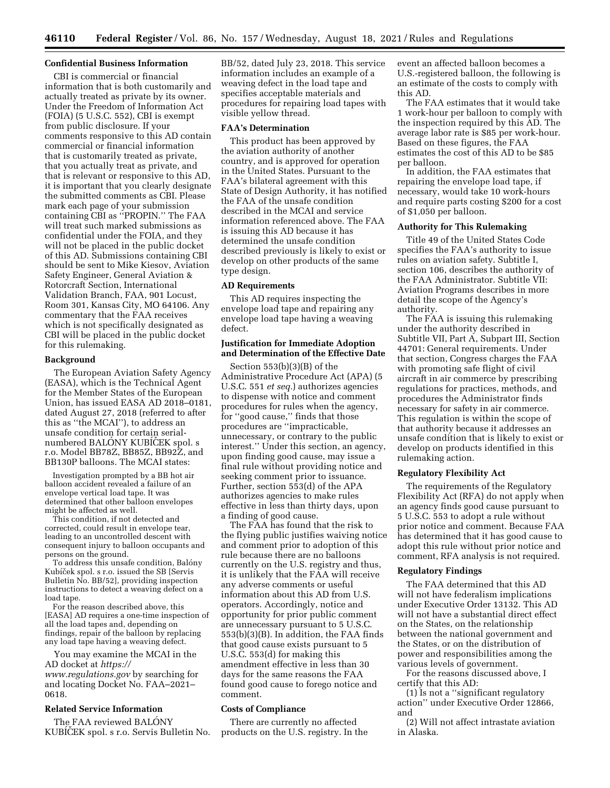## **Confidential Business Information**

CBI is commercial or financial information that is both customarily and actually treated as private by its owner. Under the Freedom of Information Act (FOIA) (5 U.S.C. 552), CBI is exempt from public disclosure. If your comments responsive to this AD contain commercial or financial information that is customarily treated as private, that you actually treat as private, and that is relevant or responsive to this AD, it is important that you clearly designate the submitted comments as CBI. Please mark each page of your submission containing CBI as ''PROPIN.'' The FAA will treat such marked submissions as confidential under the FOIA, and they will not be placed in the public docket of this AD. Submissions containing CBI should be sent to Mike Kiesov, Aviation Safety Engineer, General Aviation & Rotorcraft Section, International Validation Branch, FAA, 901 Locust, Room 301, Kansas City, MO 64106. Any commentary that the FAA receives which is not specifically designated as CBI will be placed in the public docket for this rulemaking.

## **Background**

The European Aviation Safety Agency (EASA), which is the Technical Agent for the Member States of the European Union, has issued EASA AD 2018–0181, dated August 27, 2018 (referred to after this as ''the MCAI''), to address an unsafe condition for certain serialnumbered BALONY KUBICEK spol. s r.o. Model BB78Z, BB85Z, BB92Z, and BB130P balloons. The MCAI states:

Investigation prompted by a BB hot air balloon accident revealed a failure of an envelope vertical load tape. It was determined that other balloon envelopes might be affected as well.

This condition, if not detected and corrected, could result in envelope tear, leading to an uncontrolled descent with consequent injury to balloon occupants and persons on the ground.

To address this unsafe condition, Balóny Kubíček spol. s r.o. issued the SB [Servis] Bulletin No. BB/52], providing inspection instructions to detect a weaving defect on a load tape.

For the reason described above, this [EASA] AD requires a one-time inspection of all the load tapes and, depending on findings, repair of the balloon by replacing any load tape having a weaving defect.

You may examine the MCAI in the AD docket at *[https://](https://www.regulations.gov) [www.regulations.gov](https://www.regulations.gov)* by searching for and locating Docket No. FAA–2021– 0618.

## **Related Service Information**

The FAA reviewed BALONY KUBICEK spol. s r.o. Servis Bulletin No.

BB/52, dated July 23, 2018. This service information includes an example of a weaving defect in the load tape and specifies acceptable materials and procedures for repairing load tapes with visible yellow thread.

#### **FAA's Determination**

This product has been approved by the aviation authority of another country, and is approved for operation in the United States. Pursuant to the FAA's bilateral agreement with this State of Design Authority, it has notified the FAA of the unsafe condition described in the MCAI and service information referenced above. The FAA is issuing this AD because it has determined the unsafe condition described previously is likely to exist or develop on other products of the same type design.

### **AD Requirements**

This AD requires inspecting the envelope load tape and repairing any envelope load tape having a weaving defect.

# **Justification for Immediate Adoption and Determination of the Effective Date**

Section 553(b)(3)(B) of the Administrative Procedure Act (APA) (5 U.S.C. 551 *et seq.*) authorizes agencies to dispense with notice and comment procedures for rules when the agency, for ''good cause,'' finds that those procedures are ''impracticable, unnecessary, or contrary to the public interest.'' Under this section, an agency, upon finding good cause, may issue a final rule without providing notice and seeking comment prior to issuance. Further, section 553(d) of the APA authorizes agencies to make rules effective in less than thirty days, upon a finding of good cause.

The FAA has found that the risk to the flying public justifies waiving notice and comment prior to adoption of this rule because there are no balloons currently on the U.S. registry and thus, it is unlikely that the FAA will receive any adverse comments or useful information about this AD from U.S. operators. Accordingly, notice and opportunity for prior public comment are unnecessary pursuant to 5 U.S.C. 553(b)(3)(B). In addition, the FAA finds that good cause exists pursuant to 5 U.S.C. 553(d) for making this amendment effective in less than 30 days for the same reasons the FAA found good cause to forego notice and comment.

## **Costs of Compliance**

There are currently no affected products on the U.S. registry. In the event an affected balloon becomes a U.S.-registered balloon, the following is an estimate of the costs to comply with this AD.

The FAA estimates that it would take 1 work-hour per balloon to comply with the inspection required by this AD. The average labor rate is \$85 per work-hour. Based on these figures, the FAA estimates the cost of this AD to be \$85 per balloon.

In addition, the FAA estimates that repairing the envelope load tape, if necessary, would take 10 work-hours and require parts costing \$200 for a cost of \$1,050 per balloon.

# **Authority for This Rulemaking**

Title 49 of the United States Code specifies the FAA's authority to issue rules on aviation safety. Subtitle I, section 106, describes the authority of the FAA Administrator. Subtitle VII: Aviation Programs describes in more detail the scope of the Agency's authority.

The FAA is issuing this rulemaking under the authority described in Subtitle VII, Part A, Subpart III, Section 44701: General requirements. Under that section, Congress charges the FAA with promoting safe flight of civil aircraft in air commerce by prescribing regulations for practices, methods, and procedures the Administrator finds necessary for safety in air commerce. This regulation is within the scope of that authority because it addresses an unsafe condition that is likely to exist or develop on products identified in this rulemaking action.

## **Regulatory Flexibility Act**

The requirements of the Regulatory Flexibility Act (RFA) do not apply when an agency finds good cause pursuant to 5 U.S.C. 553 to adopt a rule without prior notice and comment. Because FAA has determined that it has good cause to adopt this rule without prior notice and comment, RFA analysis is not required.

### **Regulatory Findings**

The FAA determined that this AD will not have federalism implications under Executive Order 13132. This AD will not have a substantial direct effect on the States, on the relationship between the national government and the States, or on the distribution of power and responsibilities among the various levels of government.

For the reasons discussed above, I certify that this AD:

(1) Is not a ''significant regulatory action'' under Executive Order 12866, and

(2) Will not affect intrastate aviation in Alaska.